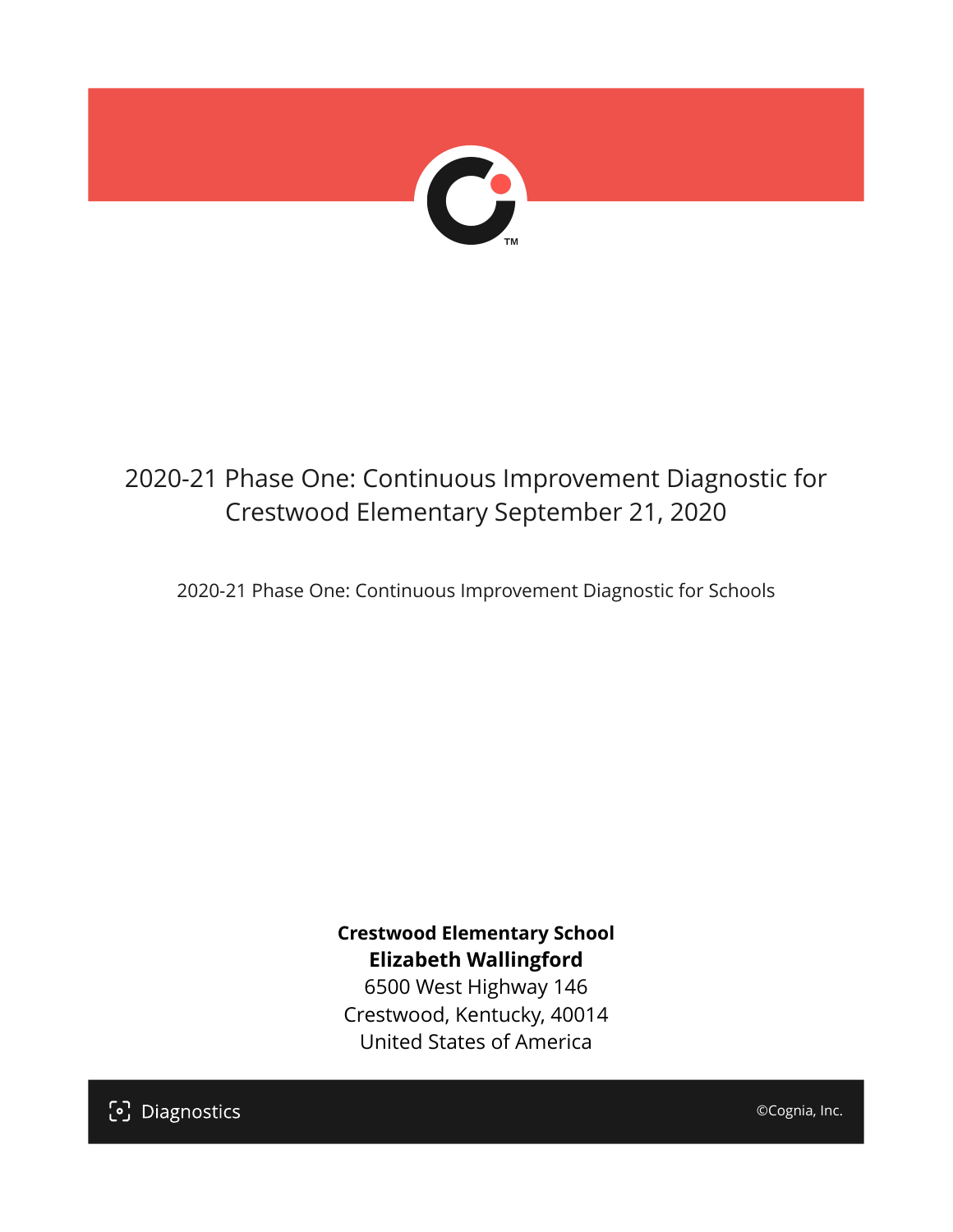

# 2020-21 Phase One: Continuous Improvement Diagnostic for Crestwood Elementary September 21, 2020

2020-21 Phase One: Continuous Improvement Diagnostic for Schools

**Crestwood Elementary School Elizabeth Wallingford** 6500 West Highway 146

Crestwood, Kentucky, 40014 United States of America

[၁] Diagnostics

©Cognia, Inc.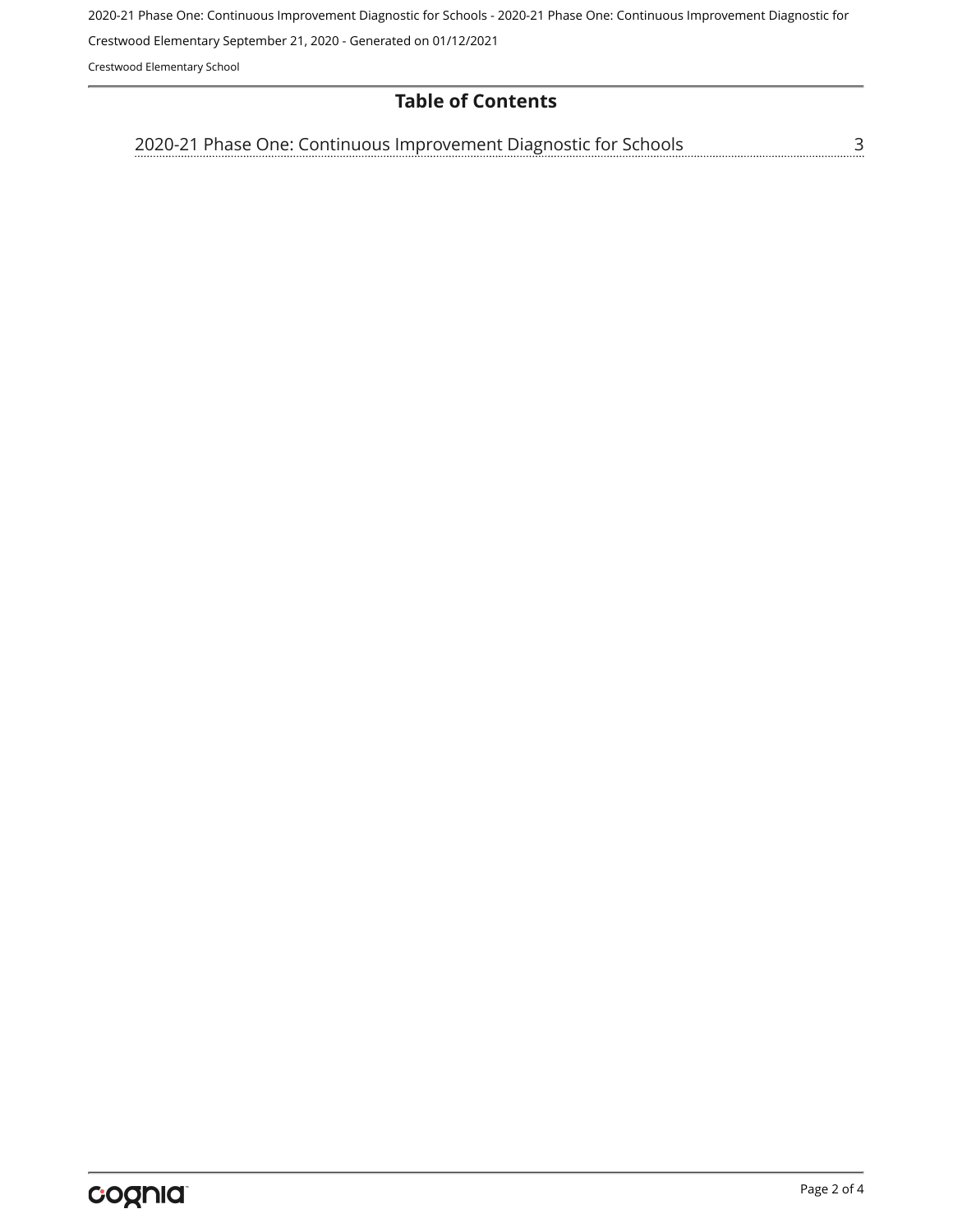2020-21 Phase One: Continuous Improvement Diagnostic for Schools - 2020-21 Phase One: Continuous Improvement Diagnostic for

Crestwood Elementary September 21, 2020 - Generated on 01/12/2021

Crestwood Elementary School

#### **Table of Contents**

[2020-21 Phase One: Continuous Improvement Diagnostic for Schools](#page-2-0)[3](#page-2-0)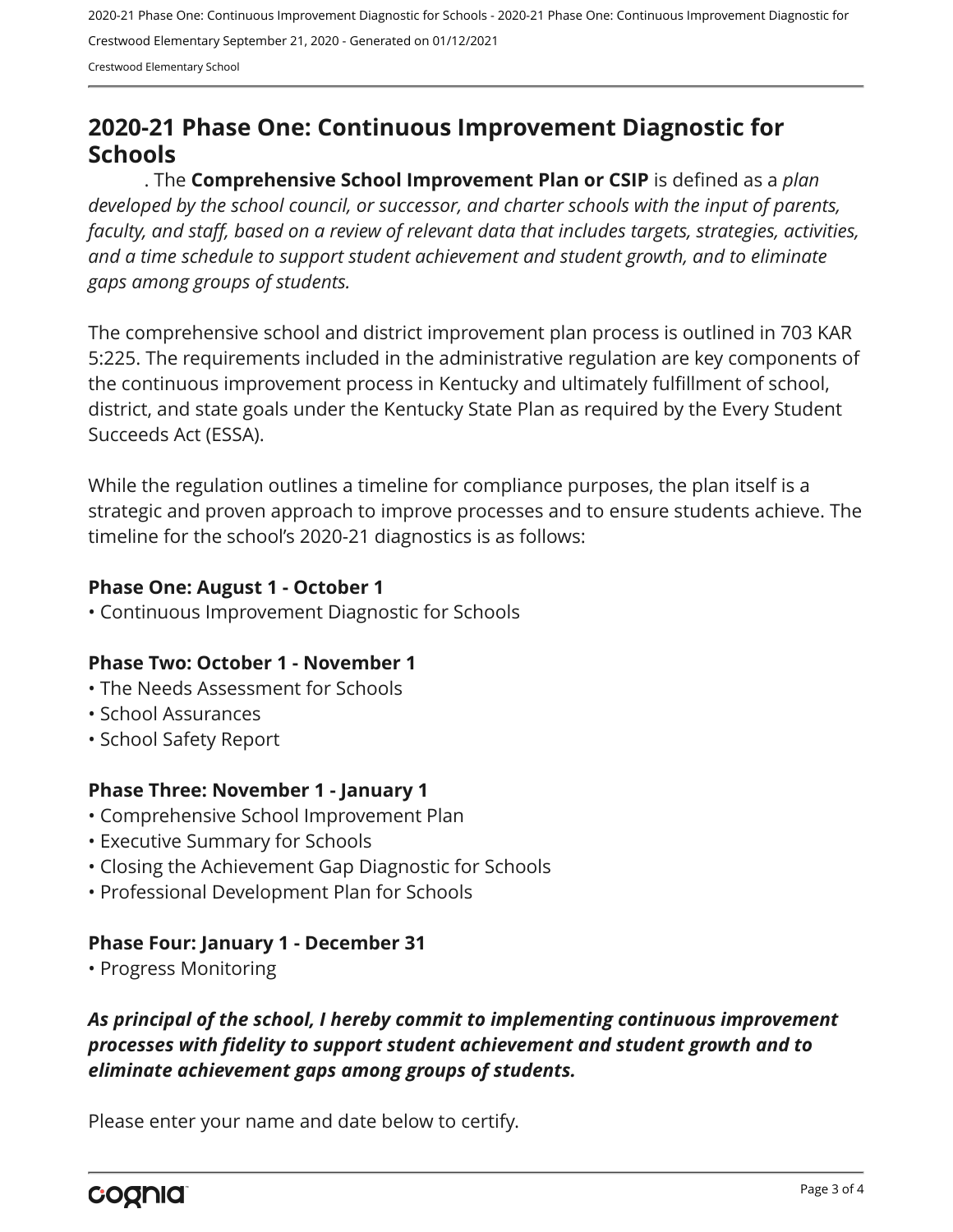2020-21 Phase One: Continuous Improvement Diagnostic for Schools - 2020-21 Phase One: Continuous Improvement Diagnostic for Crestwood Elementary September 21, 2020 - Generated on 01/12/2021

Crestwood Elementary School

# <span id="page-2-0"></span>**2020-21 Phase One: Continuous Improvement Diagnostic for Schools**

. The **Comprehensive School Improvement Plan or CSIP** is defined as a *plan developed by the school council, or successor, and charter schools with the input of parents, faculty, and staff, based on a review of relevant data that includes targets, strategies, activities, and a time schedule to support student achievement and student growth, and to eliminate gaps among groups of students.*

The comprehensive school and district improvement plan process is outlined in 703 KAR 5:225. The requirements included in the administrative regulation are key components of the continuous improvement process in Kentucky and ultimately fulfillment of school, district, and state goals under the Kentucky State Plan as required by the Every Student Succeeds Act (ESSA).

While the regulation outlines a timeline for compliance purposes, the plan itself is a strategic and proven approach to improve processes and to ensure students achieve. The timeline for the school's 2020-21 diagnostics is as follows:

#### **Phase One: August 1 - October 1**

• Continuous Improvement Diagnostic for Schools

#### **Phase Two: October 1 - November 1**

- The Needs Assessment for Schools
- School Assurances
- School Safety Report

#### **Phase Three: November 1 - January 1**

- Comprehensive School Improvement Plan
- Executive Summary for Schools
- Closing the Achievement Gap Diagnostic for Schools
- Professional Development Plan for Schools

## **Phase Four: January 1 - December 31**

• Progress Monitoring

## *As principal of the school, I hereby commit to implementing continuous improvement processes with fidelity to support student achievement and student growth and to eliminate achievement gaps among groups of students.*

Please enter your name and date below to certify.